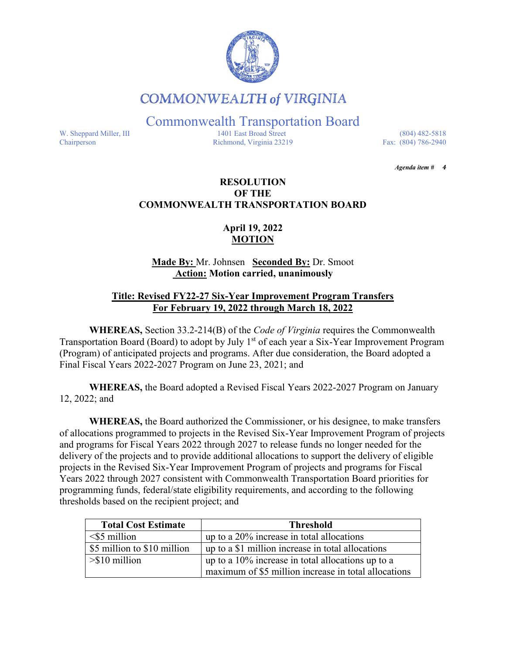

# **COMMONWEALTH of VIRGINIA**

Commonwealth Transportation Board

W. Sheppard Miller, III 1401 East Broad Street (804) 482-5818<br>Chairperson Richmond, Virginia 23219 Fax: (804) 786-2940 Richmond, Virginia 23219

*Agenda item # 4* 

## **RESOLUTION OF THE COMMONWEALTH TRANSPORTATION BOARD**

# **April 19, 2022 MOTION**

## **Made By:** Mr. Johnsen **Seconded By:** Dr. Smoot **Action: Motion carried, unanimously**

## **Title: Revised FY22-27 Six-Year Improvement Program Transfers For February 19, 2022 through March 18, 2022**

**WHEREAS,** Section 33.2-214(B) of the *Code of Virginia* requires the Commonwealth Transportation Board (Board) to adopt by July 1<sup>st</sup> of each year a Six-Year Improvement Program (Program) of anticipated projects and programs. After due consideration, the Board adopted a Final Fiscal Years 2022-2027 Program on June 23, 2021; and

**WHEREAS,** the Board adopted a Revised Fiscal Years 2022-2027 Program on January 12, 2022; and

**WHEREAS,** the Board authorized the Commissioner, or his designee, to make transfers of allocations programmed to projects in the Revised Six-Year Improvement Program of projects and programs for Fiscal Years 2022 through 2027 to release funds no longer needed for the delivery of the projects and to provide additional allocations to support the delivery of eligible projects in the Revised Six-Year Improvement Program of projects and programs for Fiscal Years 2022 through 2027 consistent with Commonwealth Transportation Board priorities for programming funds, federal/state eligibility requirements, and according to the following thresholds based on the recipient project; and

| <b>Total Cost Estimate</b>  | <b>Threshold</b>                                     |
|-----------------------------|------------------------------------------------------|
| $\leq$ 5 million            | up to a $20\%$ increase in total allocations         |
| \$5 million to \$10 million | up to a \$1 million increase in total allocations    |
| $>\$ 10 million             | up to a $10\%$ increase in total allocations up to a |
|                             | maximum of \$5 million increase in total allocations |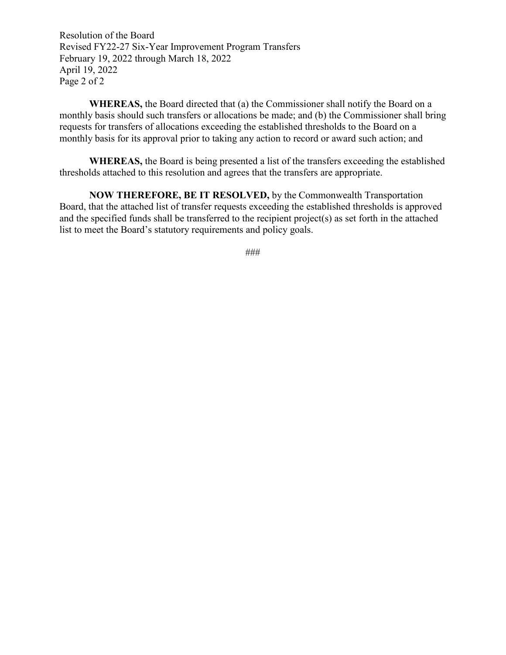Resolution of the Board Revised FY22-27 Six-Year Improvement Program Transfers February 19, 2022 through March 18, 2022 April 19, 2022 Page 2 of 2

**WHEREAS,** the Board directed that (a) the Commissioner shall notify the Board on a monthly basis should such transfers or allocations be made; and (b) the Commissioner shall bring requests for transfers of allocations exceeding the established thresholds to the Board on a monthly basis for its approval prior to taking any action to record or award such action; and

**WHEREAS,** the Board is being presented a list of the transfers exceeding the established thresholds attached to this resolution and agrees that the transfers are appropriate.

**NOW THEREFORE, BE IT RESOLVED,** by the Commonwealth Transportation Board, that the attached list of transfer requests exceeding the established thresholds is approved and the specified funds shall be transferred to the recipient project(s) as set forth in the attached list to meet the Board's statutory requirements and policy goals.

###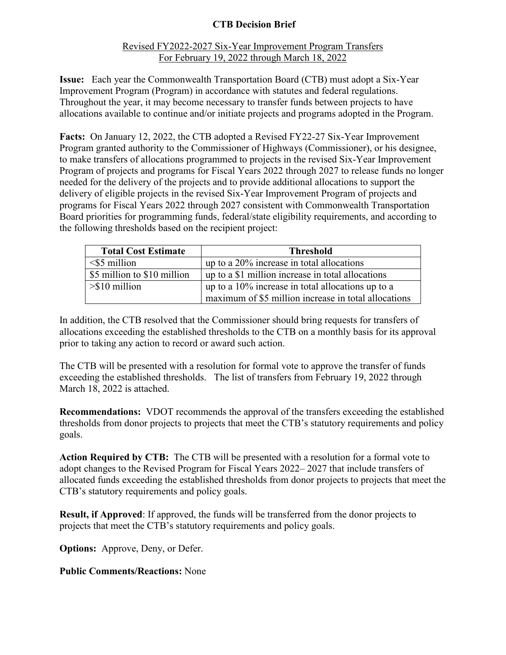# **CTB Decision Brief**

## Revised FY2022-2027 Six-Year Improvement Program Transfers For February 19, 2022 through March 18, 2022

**Issue:** Each year the Commonwealth Transportation Board (CTB) must adopt a Six-Year Improvement Program (Program) in accordance with statutes and federal regulations. Throughout the year, it may become necessary to transfer funds between projects to have allocations available to continue and/or initiate projects and programs adopted in the Program.

**Facts:** On January 12, 2022, the CTB adopted a Revised FY22-27 Six-Year Improvement Program granted authority to the Commissioner of Highways (Commissioner), or his designee, to make transfers of allocations programmed to projects in the revised Six-Year Improvement Program of projects and programs for Fiscal Years 2022 through 2027 to release funds no longer needed for the delivery of the projects and to provide additional allocations to support the delivery of eligible projects in the revised Six-Year Improvement Program of projects and programs for Fiscal Years 2022 through 2027 consistent with Commonwealth Transportation Board priorities for programming funds, federal/state eligibility requirements, and according to the following thresholds based on the recipient project:

| <b>Total Cost Estimate</b>  | <b>Threshold</b>                                     |
|-----------------------------|------------------------------------------------------|
| $\leq$ 5 million            | up to a $20\%$ increase in total allocations         |
| \$5 million to \$10 million | up to a \$1 million increase in total allocations    |
| $>\$10$ million             | up to a $10\%$ increase in total allocations up to a |
|                             | maximum of \$5 million increase in total allocations |

In addition, the CTB resolved that the Commissioner should bring requests for transfers of allocations exceeding the established thresholds to the CTB on a monthly basis for its approval prior to taking any action to record or award such action.

The CTB will be presented with a resolution for formal vote to approve the transfer of funds exceeding the established thresholds. The list of transfers from February 19, 2022 through March 18, 2022 is attached.

**Recommendations:** VDOT recommends the approval of the transfers exceeding the established thresholds from donor projects to projects that meet the CTB's statutory requirements and policy goals.

**Action Required by CTB:** The CTB will be presented with a resolution for a formal vote to adopt changes to the Revised Program for Fiscal Years 2022– 2027 that include transfers of allocated funds exceeding the established thresholds from donor projects to projects that meet the CTB's statutory requirements and policy goals.

**Result, if Approved**: If approved, the funds will be transferred from the donor projects to projects that meet the CTB's statutory requirements and policy goals.

**Options:** Approve, Deny, or Defer.

**Public Comments/Reactions:** None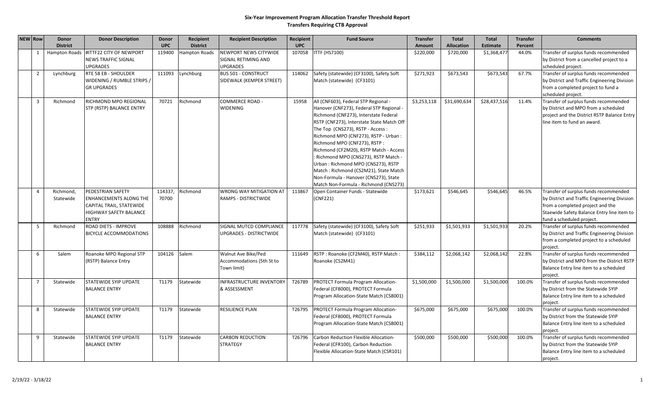### **Six‐Year Improvement Program Allocation Transfer Threshold Report Transfers Requiring CTB Approval**

| <b>NEW Row</b> |                | Donor                  | <b>Donor Description</b>                                                                                                 | Donor            | Recipient            | <b>Recipient Description</b>                                    | Recipient  | <b>Fund Source</b>                                                                                                                                                                                                                                                                                                                                                                                                                                                                                                                      | <b>Transfer</b> | <b>Total</b>      | <b>Total</b>    | <b>Transfer</b> | <b>Comments</b>                                                                                                                                                                                      |
|----------------|----------------|------------------------|--------------------------------------------------------------------------------------------------------------------------|------------------|----------------------|-----------------------------------------------------------------|------------|-----------------------------------------------------------------------------------------------------------------------------------------------------------------------------------------------------------------------------------------------------------------------------------------------------------------------------------------------------------------------------------------------------------------------------------------------------------------------------------------------------------------------------------------|-----------------|-------------------|-----------------|-----------------|------------------------------------------------------------------------------------------------------------------------------------------------------------------------------------------------------|
|                |                | <b>District</b>        |                                                                                                                          | <b>UPC</b>       | <b>District</b>      |                                                                 | <b>UPC</b> |                                                                                                                                                                                                                                                                                                                                                                                                                                                                                                                                         | Amount          | <b>Allocation</b> | <b>Estimate</b> | Percent         |                                                                                                                                                                                                      |
|                | 1              | Hampton Roads          | #ITTF22 CITY OF NEWPORT<br>NEWS TRAFFIC SIGNAL<br><b>UPGRADES</b>                                                        | 119400           | <b>Hampton Roads</b> | NEWPORT NEWS CITYWIDE<br>SIGNAL RETIMING AND<br><b>UPGRADES</b> | 107058     | <b>ITTF (HS7100)</b>                                                                                                                                                                                                                                                                                                                                                                                                                                                                                                                    | \$220,000       | \$720,000         | \$1,368,477     | 44.0%           | Transfer of surplus funds recommended<br>by District from a cancelled project to a<br>scheduled project.                                                                                             |
|                | $\overline{2}$ | Lynchburg              | RTE 58 EB - SHOULDER<br>WIDENING / RUMBLE STRIPS /<br><b>GR UPGRADES</b>                                                 | 111093           | Lynchburg            | <b>BUS 501 - CONSTRUCT</b><br>SIDEWALK (KEMPER STREET)          | 114062     | Safety (statewide) (CF3100), Safety Soft<br>Match (statewide) (CF3101)                                                                                                                                                                                                                                                                                                                                                                                                                                                                  | \$271,923       | \$673,543         | \$673,543       | 67.7%           | Transfer of surplus funds recommended<br>by District and Traffic Engineering Division<br>from a completed project to fund a<br>scheduled project.                                                    |
|                | $\overline{3}$ | Richmond               | RICHMOND MPO REGIONAL<br>STP (RSTP) BALANCE ENTRY                                                                        | 70721            | Richmond             | <b>COMMERCE ROAD -</b><br><b>WIDENING</b>                       | 15958      | All (CNF603), Federal STP Regional -<br>Hanover (CNF273), Federal STP Regional -<br>Richmond (CNF273), Interstate Federal<br>RSTP (CNF273), Interstate State Match Off<br>The Top (CNS273), RSTP - Access:<br>Richmond MPO (CNF273), RSTP - Urban :<br>Richmond MPO (CNF273), RSTP:<br>Richmond (CF2M20), RSTP Match - Access<br>: Richmond MPO (CNS273), RSTP Match -<br>Urban: Richmond MPO (CNS273), RSTP<br>Match: Richmond (CS2M21), State Match<br>Non-Formula - Hanover (CNS273), State<br>Match Non-Formula - Richmond (CNS273) | \$3,253,118     | \$31,690,634      | \$28,437,516    | 11.4%           | Transfer of surplus funds recommended<br>by District and MPO from a scheduled<br>project and the District RSTP Balance Entry<br>line item to fund an award.                                          |
|                | $\overline{a}$ | Richmond,<br>Statewide | PEDESTRIAN SAFETY<br><b>ENHANCEMENTS ALONG THE</b><br>CAPITAL TRAIL, STATEWIDE<br>HIGHWAY SAFETY BALANCE<br><b>ENTRY</b> | 114337,<br>70700 | Richmond             | <b>WRONG WAY MITIGATION AT</b><br><b>RAMPS - DISTRICTWIDE</b>   | 113867     | Open Container Funds - Statewide<br>(CNF221)                                                                                                                                                                                                                                                                                                                                                                                                                                                                                            | \$173,621       | \$546,645         | \$546,645       | 46.5%           | Transfer of surplus funds recommended<br>by District and Traffic Engineering Division<br>from a completed project and the<br>Staewide Safety Balance Entry line item to<br>fund a scheduled project. |
|                | -5             | Richmond               | ROAD DIETS - IMPROVE<br>BICYCLE ACCOMMODATIONS                                                                           | 108888           | Richmond             | SIGNAL MUTCD COMPLIANCE<br>UPGRADES - DISTRICTWIDE              | 117778     | Safety (statewide) (CF3100), Safety Soft<br>Match (statewide) (CF3101)                                                                                                                                                                                                                                                                                                                                                                                                                                                                  | \$251,933       | \$1,501,933       | \$1,501,933     | 20.2%           | Transfer of surplus funds recommended<br>by District and Traffic Engineering Division<br>from a completed project to a scheduled<br>project.                                                         |
|                | 6              | Salem                  | Roanoke MPO Regional STP<br>(RSTP) Balance Entry                                                                         | 104126           | Salem                | Walnut Ave Bike/Ped<br>Accommodations (5th St to<br>Town limit) | 111649     | RSTP: Roanoke (CF2M40), RSTP Match:<br>Roanoke (CS2M41)                                                                                                                                                                                                                                                                                                                                                                                                                                                                                 | \$384,112       | \$2,068,142       | \$2,068,142     | 22.8%           | Transfer of surplus funds recommended<br>by District and MPO from the District RSTP<br>Balance Entry line item to a scheduled<br>project.                                                            |
|                | $\overline{7}$ | Statewide              | STATEWIDE SYIP UPDATE<br><b>BALANCE ENTRY</b>                                                                            | T1179            | Statewide            | <b>INFRASTRUCTURE INVENTORY</b><br>& ASSESSMENT                 | T26789     | <b>PROTECT Formula Program Allocation-</b><br>Federal (CF8000), PROTECT Formula<br>Program Allocation-State Match (CS8001)                                                                                                                                                                                                                                                                                                                                                                                                              | \$1,500,000     | \$1,500,000       | \$1,500,000     | 100.0%          | Transfer of surplus funds recommended<br>by District from the Statewide SYIP<br>Balance Entry line item to a scheduled<br>project.                                                                   |
|                | 8              | Statewide              | STATEWIDE SYIP UPDATE<br><b>BALANCE ENTRY</b>                                                                            | T1179            | Statewide            | <b>RESILIENCE PLAN</b>                                          | T26795     | PROTECT Formula Program Allocation-<br>Federal (CF8000), PROTECT Formula<br>Program Allocation-State Match (CS8001)                                                                                                                                                                                                                                                                                                                                                                                                                     | \$675,000       | \$675,000         | \$675,000       | 100.0%          | Transfer of surplus funds recommended<br>by District from the Statewide SYIP<br>Balance Entry line item to a scheduled<br>project.                                                                   |
|                | q              | Statewide              | STATEWIDE SYIP UPDATE<br><b>BALANCE ENTRY</b>                                                                            | T1179            | Statewide            | <b>CARBON REDUCTION</b><br><b>STRATEGY</b>                      | T26796     | Carbon Reduction Flexible Allocation-<br>Federal (CFR100), Carbon Reduction<br>Flexible Allocation-State Match (CSR101)                                                                                                                                                                                                                                                                                                                                                                                                                 | \$500,000       | \$500,000         | \$500,000       | 100.0%          | Transfer of surplus funds recommended<br>by District from the Statewide SYIP<br>Balance Entry line item to a scheduled<br>project.                                                                   |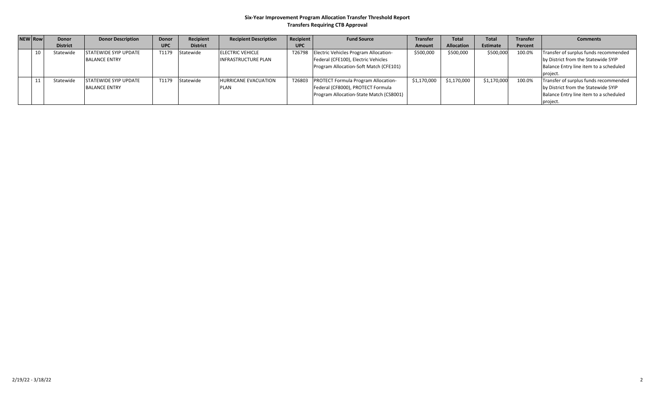#### **Six‐Year Improvement Program Allocation Transfer Threshold Report Transfers Requiring CTB Approval**

| NEW Row | <b>Donor</b>    | <b>Donor Description</b>     | <b>Donor</b> | Recipient       | <b>Recipient Description</b> | Recipient  | <b>Fund Source</b>                           | <b>Transfer</b> | <b>Total</b>      | <b>Total</b> | <b>Transfer</b> | <b>Comments</b>                        |
|---------|-----------------|------------------------------|--------------|-----------------|------------------------------|------------|----------------------------------------------|-----------------|-------------------|--------------|-----------------|----------------------------------------|
|         | <b>District</b> |                              | <b>UPC</b>   | <b>District</b> |                              | <b>UPC</b> |                                              | Amount          | <b>Allocation</b> | Estimate     | Percent         |                                        |
| 10      | Statewide       | <b>STATEWIDE SYIP UPDATE</b> |              | T1179 Statewide | <b>IELECTRIC VEHICLE</b>     |            | T26798 Electric Vehicles Program Allocation- | \$500,000       | \$500,000         | \$500,000    | 100.0%          | Transfer of surplus funds recommended  |
|         |                 | <b>BALANCE ENTRY</b>         |              |                 | <b>INFRASTRUCTURE PLAN</b>   |            | Federal (CFE100), Electric Vehicles          |                 |                   |              |                 | by District from the Statewide SYIP    |
|         |                 |                              |              |                 |                              |            | Program Allocation-Soft Match (CFE101)       |                 |                   |              |                 | Balance Entry line item to a scheduled |
|         |                 |                              |              |                 |                              |            |                                              |                 |                   |              |                 | project.                               |
|         | Statewide       | <b>STATEWIDE SYIP UPDATE</b> |              | T1179 Statewide | <b>HURRICANE EVACUATION</b>  | T26803     | <b>PROTECT Formula Program Allocation-</b>   | \$1,170,000     | \$1,170,000       | \$1,170,000  | 100.0%          | Transfer of surplus funds recommended  |
|         |                 | <b>BALANCE ENTRY</b>         |              |                 | <b>PLAN</b>                  |            | Federal (CF8000), PROTECT Formula            |                 |                   |              |                 | by District from the Statewide SYIP    |
|         |                 |                              |              |                 |                              |            | Program Allocation-State Match (CS8001)      |                 |                   |              |                 | Balance Entry line item to a scheduled |
|         |                 |                              |              |                 |                              |            |                                              |                 |                   |              |                 | project.                               |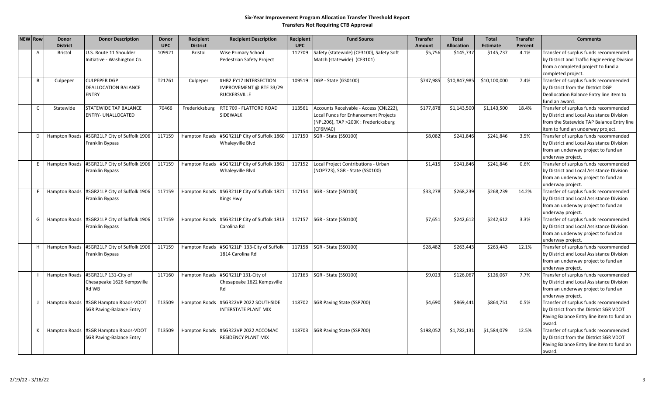#### **Six‐Year Improvement Program Allocation Transfer Threshold Report Transfers Not Requiring CTB Approval**

| <b>NEW Row</b> | <b>Donor</b>    | <b>Donor Description</b>                    | Donor      | <b>Recipient</b>     | <b>Recipient Description</b>                           | Recipient  | <b>Fund Source</b>                       | <b>Transfer</b> | <b>Total</b>      | <b>Total</b>    | <b>Transfer</b> | <b>Comments</b>                                     |
|----------------|-----------------|---------------------------------------------|------------|----------------------|--------------------------------------------------------|------------|------------------------------------------|-----------------|-------------------|-----------------|-----------------|-----------------------------------------------------|
|                | <b>District</b> |                                             | <b>UPC</b> | <b>District</b>      |                                                        | <b>UPC</b> |                                          | Amount          | <b>Allocation</b> | <b>Estimate</b> | Percent         |                                                     |
| A              | Bristol         | U.S. Route 11 Shoulder                      | 109921     | Bristol              | Wise Primary School                                    | 112709     | Safety (statewide) (CF3100), Safety Soft | \$5,756         | \$145,737         | \$145,737       | 4.1%            | Transfer of surplus funds recommended               |
|                |                 | Initiative - Washington Co.                 |            |                      | Pedestrian Safety Project                              |            | Match (statewide) (CF3101)               |                 |                   |                 |                 | by District and Traffic Engineering Division        |
|                |                 |                                             |            |                      |                                                        |            |                                          |                 |                   |                 |                 | from a completed project to fund a                  |
|                |                 |                                             |            |                      |                                                        |            |                                          |                 |                   |                 |                 | completed project.                                  |
| B              | Culpeper        | <b>CULPEPER DGP</b>                         | T21761     | Culpeper             | #HB2.FY17 INTERSECTION                                 | 109519     | DGP - State (GS0100)                     | \$747,985       | \$10,847,985      | \$10,100,000    | 7.4%            | Transfer of surplus funds recommended               |
|                |                 | DEALLOCATION BALANCE                        |            |                      | IMPROVEMENT @ RTE 33/29                                |            |                                          |                 |                   |                 |                 | by District from the District DGP                   |
|                |                 | <b>ENTRY</b>                                |            |                      | <b>RUCKERSVILLE</b>                                    |            |                                          |                 |                   |                 |                 | Deallocation Balance Entry line item to             |
|                |                 |                                             |            |                      |                                                        |            |                                          |                 |                   |                 |                 | fund an award.                                      |
| $\mathsf{C}$   | Statewide       | STATEWIDE TAP BALANCE                       | 70466      | Fredericksburg       | RTE 709 - FLATFORD ROAD                                | 113561     | Accounts Receivable - Access (CNL222),   | \$177,878       | \$1,143,500       | \$1,143,500     | 18.4%           | Transfer of surplus funds recommended               |
|                |                 | <b>ENTRY- UNALLOCATED</b>                   |            |                      | <b>SIDEWALK</b>                                        |            | Local Funds for Enhancement Projects     |                 |                   |                 |                 | by District and Local Assistance Division           |
|                |                 |                                             |            |                      |                                                        |            | (NPL206), TAP >200K: Fredericksburg      |                 |                   |                 |                 | from the Statewide TAP Balance Entry line           |
|                |                 |                                             |            |                      |                                                        |            | (CF6MA0)                                 |                 |                   |                 |                 | item to fund an underway project.                   |
| D              | Hampton Roads   | #SGR21LP City of Suffolk 1906               | 117159     | Hampton Roads        | #SGR21LP City of Suffolk 1860                          | 117150     | SGR - State (SS0100)                     | \$8,082         | \$241,846         | \$241,846       | 3.5%            | Transfer of surplus funds recommended               |
|                |                 | Franklin Bypass                             |            |                      | Whaleyville Blvd                                       |            |                                          |                 |                   |                 |                 | by District and Local Assistance Division           |
|                |                 |                                             |            |                      |                                                        |            |                                          |                 |                   |                 |                 | from an underway project to fund an                 |
|                |                 |                                             |            |                      |                                                        |            |                                          |                 |                   |                 |                 | underway project.                                   |
| E.             |                 | Hampton Roads #SGR21LP City of Suffolk 1906 | 117159     | Hampton Roads        | #SGR21LP City of Suffolk 1861                          | 117152     | Local Project Contributions - Urban      | \$1,415         | \$241,846         | \$241,846       | 0.6%            | Transfer of surplus funds recommended               |
|                |                 | Franklin Bypass                             |            |                      | Whaleyville Blvd                                       |            | (NOP723), SGR - State (SS0100)           |                 |                   |                 |                 | by District and Local Assistance Division           |
|                |                 |                                             |            |                      |                                                        |            |                                          |                 |                   |                 |                 | from an underway project to fund an                 |
|                |                 |                                             |            |                      |                                                        |            |                                          |                 |                   |                 |                 | underway project.                                   |
| F.             | Hampton Roads   | #SGR21LP City of Suffolk 1906               | 117159     | Hampton Roads        | #SGR21LP City of Suffolk 1821                          | 117154     | SGR - State (SS0100)                     | \$33,278        | \$268,239         | \$268,239       | 14.2%           | Transfer of surplus funds recommended               |
|                |                 | Franklin Bypass                             |            |                      | <b>Kings Hwy</b>                                       |            |                                          |                 |                   |                 |                 | by District and Local Assistance Division           |
|                |                 |                                             |            |                      |                                                        |            |                                          |                 |                   |                 |                 | from an underway project to fund an                 |
|                |                 |                                             |            |                      |                                                        |            |                                          |                 |                   |                 |                 | underway project.                                   |
| G              |                 | Hampton Roads #SGR21LP City of Suffolk 1906 | 117159     | <b>Hampton Roads</b> | #SGR21LP City of Suffolk 1813                          |            | 117157   SGR - State (SS0100)            | \$7,651         | \$242,612         | \$242,612       | 3.3%            | Transfer of surplus funds recommended               |
|                |                 | Franklin Bypass                             |            |                      | Carolina Rd                                            |            |                                          |                 |                   |                 |                 | by District and Local Assistance Division           |
|                |                 |                                             |            |                      |                                                        |            |                                          |                 |                   |                 |                 | from an underway project to fund an                 |
|                |                 |                                             |            |                      |                                                        |            |                                          |                 |                   |                 |                 | underway project.                                   |
| H              | Hampton Roads   | #SGR21LP City of Suffolk 1906               | 117159     | <b>Hampton Roads</b> | #SGR21LP 133-City of Suffolk                           |            | 117158 SGR - State (SS0100)              | \$28,482        | \$263,443         | \$263,443       | 12.1%           | Transfer of surplus funds recommended               |
|                |                 | Franklin Bypass                             |            |                      | 1814 Carolina Rd                                       |            |                                          |                 |                   |                 |                 | by District and Local Assistance Division           |
|                |                 |                                             |            |                      |                                                        |            |                                          |                 |                   |                 |                 | from an underway project to fund an                 |
|                |                 |                                             |            |                      |                                                        |            |                                          |                 |                   |                 |                 | underway project.                                   |
|                | Hampton Roads   | #SGR21LP 131-City of                        | 117160     | <b>Hampton Roads</b> | #SGR21LP 131-City of                                   | 117163     | SGR - State (SS0100)                     | \$9,023         | \$126,067         | \$126,067       | 7.7%            | Transfer of surplus funds recommended               |
|                |                 | Chesapeake 1626 Kempsville                  |            |                      | Chesapeake 1622 Kempsville                             |            |                                          |                 |                   |                 |                 | by District and Local Assistance Division           |
|                |                 | Rd WB                                       |            |                      | Rd                                                     |            |                                          |                 |                   |                 |                 | from an underway project to fund an                 |
|                |                 |                                             |            |                      |                                                        |            |                                          |                 |                   |                 |                 | underway project.                                   |
|                | Hampton Roads   | #SGR Hampton Roads-VDOT                     | T13509     | <b>Hampton Roads</b> | #SGR22VP 2022 SOUTHSIDE<br><b>INTERSTATE PLANT MIX</b> | 118702     | SGR Paving State (SSP700)                | \$4,690         | \$869,441         | \$864,751       | 0.5%            | Transfer of surplus funds recommended               |
|                |                 | <b>SGR Paving-Balance Entry</b>             |            |                      |                                                        |            |                                          |                 |                   |                 |                 | by District from the District SGR VDOT              |
|                |                 |                                             |            |                      |                                                        |            |                                          |                 |                   |                 |                 | Paving Balance Entry line item to fund an           |
|                |                 |                                             |            |                      |                                                        |            |                                          |                 |                   |                 |                 | award.                                              |
| К              | Hampton Roads   | #SGR Hampton Roads-VDOT                     | T13509     | Hampton Roads        | #SGR22VP 2022 ACCOMAC<br><b>RESIDENCY PLANT MIX</b>    | 118703     | SGR Paving State (SSP700)                | \$198,052       | \$1,782,131       | \$1,584,079     | 12.5%           | Transfer of surplus funds recommended               |
|                |                 | <b>SGR Paving-Balance Entry</b>             |            |                      |                                                        |            |                                          |                 |                   |                 |                 | by District from the District SGR VDOT              |
|                |                 |                                             |            |                      |                                                        |            |                                          |                 |                   |                 |                 | Paving Balance Entry line item to fund an<br>award. |
|                |                 |                                             |            |                      |                                                        |            |                                          |                 |                   |                 |                 |                                                     |